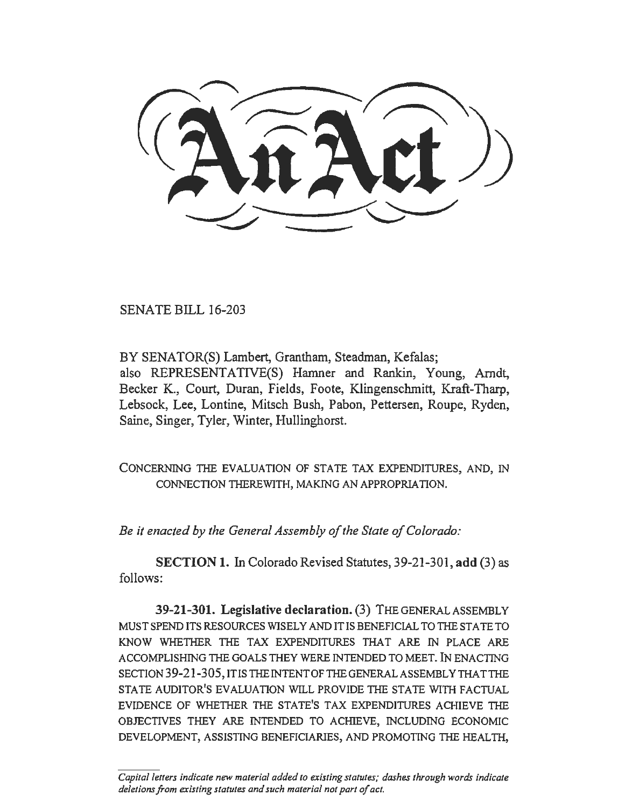SENATE BILL 16-203

BY SENATOR(S) Lambert, Grantham, Steadman, Kefalas; also REPRESENTATIVE(S) Hamner and Rankin, Young, Arndt, Becker K., Court, Duran, Fields, Foote, Klingenschmitt, Kraft-Tharp, Lebsock, Lee, Lontine, Mitsch Bush, Pabon, Pettersen, Roupe, Ryden, Saine, Singer, Tyler, Winter, Hullinghorst.

CONCERNING THE EVALUATION OF STATE TAX EXPENDITURES, AND, IN CONNECTION THEREWITH, MAKING AN APPROPRIATION.

*Be it enacted by the General Assembly of the State of Colorado:* 

SECTION 1. In Colorado Revised Statutes, 39-21-301, add (3) as follows:

39-21-301. Legislative declaration. (3) THEGENERALASSEMBLY MUST SPEND ITS RESOURCES WISELY AND IT IS BENEFICIAL TO THE STATE TO KNOW WHETHER THE TAX EXPENDITURES THAT ARE IN PLACE ARE ACCOMPLISHING THE GOALS THEY WERE INTENDED TO MEET. IN ENACTING SECTION 39-21-305, IT IS THE INTENT OF THE GENERAL ASSEMBLY THAT THE STATE AUDITOR'S EVALUATION WILL PROVIDE THE STATE WITH FACTUAL EVIDENCE OF WHETHER THE STATE'S TAX EXPENDITURES ACHIEVE THE OBJECTIVES THEY ARE INTENDED TO ACHIEVE, INCLUDING ECONOMIC DEVELOPMENT, ASSISTING BENEFICIARIES, AND PROMOTING THE HEALTH,

Capital letters indicate new material added to existing statutes; dashes through words indicate *deletions from existing statutes and such material not part of act.*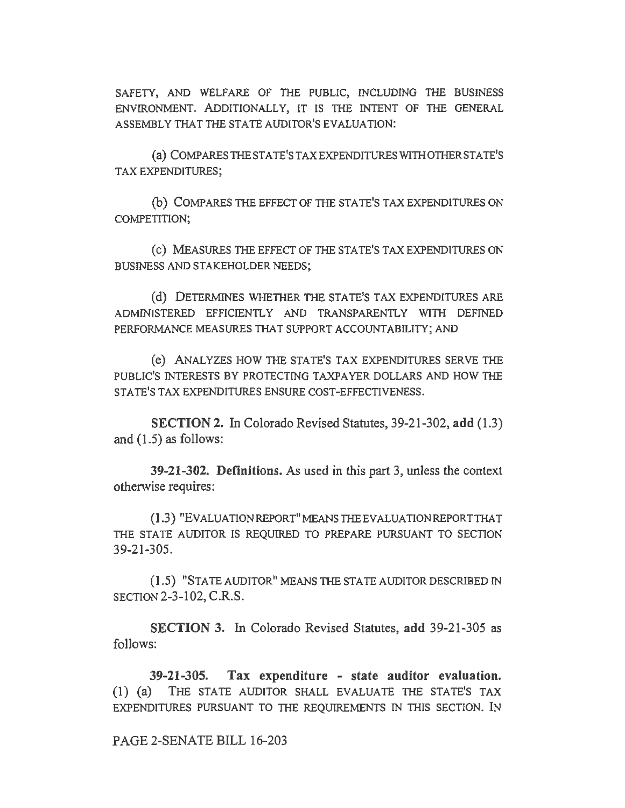SAFETY, AND WELFARE OF THE PUBLIC, INCLUDING THE BUSINESS ENVIRONMENT. ADDITIONALLY, IT IS THE INTENT OF THE GENERAL ASSEMBLY THAT THE STATE AUDITOR'S EVALUATION:

(a) COMPARESTHESTATE'STAXEXPENDITURESWITHOTHERSTATE'S TAX EXPENDITURES;

(b) COMPARES THE EFFECT OF THE STATE'S TAX EXPENDITURES ON COMPETITION;

(c) MEASURES THE EFFECT OF THE STATE'S TAX EXPENDITURES ON BUSINESS AND STAKEHOLDER NEEDS;

(d) DETERMINES WHETHER THE STATE'S TAX EXPENDITURES ARE ADMINISTERED EFFICIENTLY AND TRANSPARENTLY WITH DEFINED PERFORMANCE MEASURES THAT SUPPORT ACCOUNTABILITY; AND

(e) ANALYZES HOW THE STATE'S TAX EXPENDITURES SERVE THE PUBLIC'S INTERESTS BY PROTECTING TAXPAYER DOLLARS AND HOW THE STATE'S TAX EXPENDITURES ENSURE COST-EFFECTIVENESS.

SECTION 2. In Colorado Revised Statutes, 39-21-302, add (1.3) and  $(1.5)$  as follows:

39-21-302. Definitions. As used in this part 3, unless the context otherwise requires:

(1.3) "EV ALUA TIONREPORT" MEANS THE EVALUATION REPORTTHA T THE STATE AUDITOR IS REQUIRED TO PREPARE PURSUANT TO SECTION 39-21-305.

(1.5) "STATE AUDITOR" MEANS THE STATE AUDITOR DESCRIBED IN SECTION 2-3-102, C.R.S.

SECTION 3. In Colorado Revised Statutes, add 39-21-305 as follows:

39-21-305. Tax expenditure - state auditor evaluation. (I) (a) THE STATE AUDITOR SHALL EVALUATE THE STATE'S TAX EXPENDITURES PURSUANT TO THE REQUIREMENTS IN THIS SECTION. IN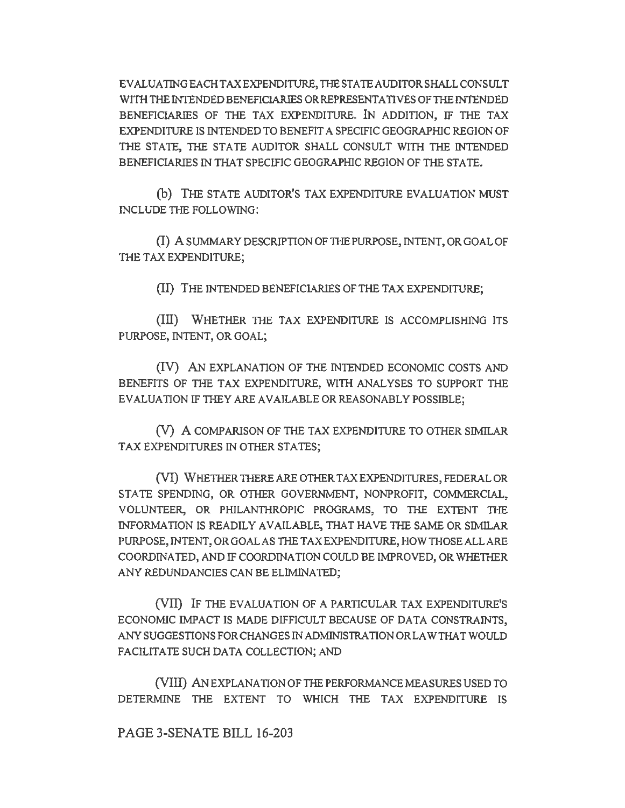EVALUATING EACH TAX EXPENDITURE, THE STA TEAUDITOR SHALL CONSULT WITH THE INTENDED BENEFICIARIES OR REPRESENTATIVES OF THE INTENDED BENEFICIARIES OF THE TAX EXPENDITURE. IN ADDITION, IF THE TAX EXPENDITURE IS INTENDED TO BENEFIT A SPECIFIC GEOGRAPHIC REGION OF THE STATE, THE STATE AUDITOR SHALL CONSULT WITH THE INTENDED BENEFICIARlES IN THAT SPECIFIC GEOGRAPHIC REGION OF THE STATE.

(b) THE STATE AUDITOR'S TAX EXPENDITURE EVALUATION MUST INCLUDE THE FOLLOWING:

(I) A SUMMARY DESCRIPTION OF THE PURPOSE, INTENT, OR GOAL OF THE TAX EXPENDITURE;

(II) THE INTENDED BENEFICIARIES OF THE TAX EXPENDITURE;

(III) WHETHER THE TAX EXPENDITURE IS ACCOMPLISHING ITS PURPOSE, INTENT, OR GOAL;

(IV) AN EXPLANATION OF THE INTENDED ECONOMIC COSTS AND BENEFITS OF THE TAX EXPENDITURE, WITH ANALYSES TO SUPPORT THE EVALUATION IF THEY ARE AVAILABLE OR REASONABLY POSSIBLE:

(V) A COMPARISON OF THE TAX EXPENDITURE TO OTHER SIMILAR TAX EXPENDITURES IN OTHER STATES;

(VI) WHETHER THERE ARE OTHER TAX EXPENDITURES, FEDERAL OR STATE SPENDING, OR OTHER GOVERNMENT, NONPROFIT, COMMERCIAL, VOLUNTEER, OR PHILANTHROPIC PROGRAMS, TO THE EXTENT THE INFORMATION IS READILY AVAILABLE, THAT HAVE THE SAME OR SIMILAR PURPOSE, INTENT, OR GOAL AS THE TAX EXPENDITURE, HOW THOSE ALL ARE COORDINATED, AND IF COORDINATION COULD BE IMPROVED, OR WHETHER ANY REDUNDANCIES CAN BE ELIMINATED;

(VII) IF THE EVALUATION OF A PARTICULAR TAX EXPENDITURE'S ECONOMIC IMPACT IS MADE DIFFICULT BECAUSE OF DATA CONSTRAINTS, ANY SUGGESTIONS FOR CHANGES IN ADMINISTRATION OR LAW THAT WOULD FACILITATE SUCH DATA COLLECTION; AND

(VIII) AN EXPLANATION OF THE PERFORMANCE MEASURES USED TO DETERMINE THE EXTENT TO WHICH THE TAX EXPENDITURE IS

PAGE 3-SENATE BILL 16-203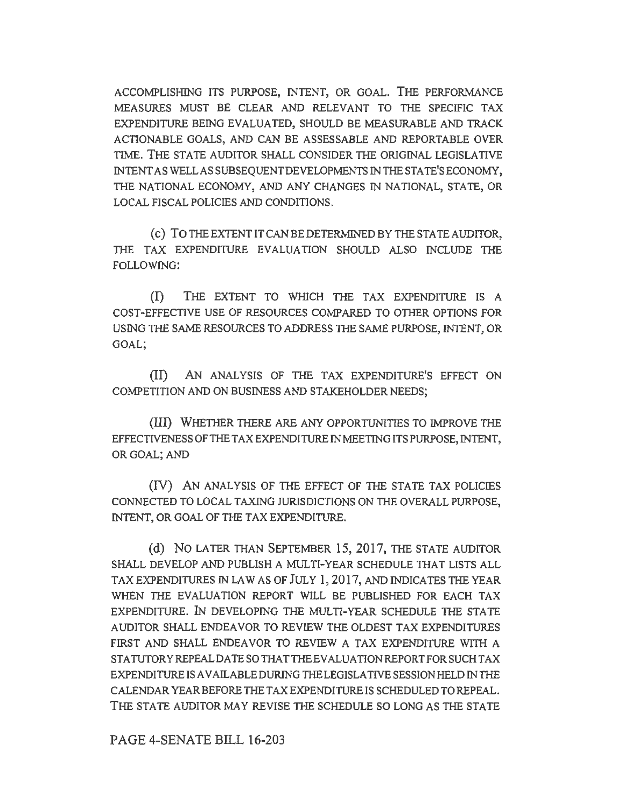ACCOMPLISHING ITS PURPOSE, INTENT, OR GOAL. THE PERFORMANCE MEASURES MUST BE CLEAR AND RELEVANT TO THE SPECIFIC TAX EXPENDITURE BEING EVALUATED, SHOULD BE MEASURABLE AND TRACK ACTIONABLE GOALS, AND CAN BE ASSESSABLE AND REPORTABLE OVER TIME. THE STATE AUDITOR SHALL CONSIDER THE ORIGINAL LEGISLATIVE INTENT AS WELL AS SUBSEQUENT DEVELOPMENTS IN THE STATE'S ECONOMY, THE NATIONAL ECONOMY, AND ANY CHANGES IN NATIONAL, STATE, OR LOCAL FISCAL POLICIES AND CONDITIONS.

(c) TOTHEEXTENTITCANBEDETERMINEDBYTHESTATEAUDITOR, THE TAX EXPENDITURE EVALUATION SHOULD ALSO INCLUDE THE FOLLOWING:

(I) THE EXTENT TO WHICH THE TAX EXPENDITURE IS A COST-EFFECTIVE USE OF RESOURCES COMPARED TO OTHER OPTIONS FOR USING THE SAME RESOURCES TO ADDRESS THE SAME PURPOSE, INTENT, OR GOAL;

(ID AN ANALYSIS OF THE TAX EXPENDITURE'S EFFECT ON COMPETITION AND ON BUSINESS AND STAKEHOLDER NEEDS;

(liD WHETHER THERE ARE ANY OPPORTUNITIES TO IMPROVE THE EFFECTIVENESS OF THE TAX EXPENDITURE IN MEETING ITS PURPOSE, INTENT, OR GOAL; AND

(IV) AN ANALYSIS OF THE EFFECT OF THE STATE TAX POLICIES CONNECTED TO LOCAL TAXING JURISDICTIONS ON THE OVERALL PURPOSE, INTENT, OR GOAL OF THE TAX EXPENDITURE.

(d) NO LATER THAN SEPTEMBER 15, 2017, THE STATE AUDITOR SHALL DEVELOP AND PUBLISH A MULTI-YEAR SCHEDULE THAT LISTS ALL TAX EXPENDITURES IN LAW AS OF JULY 1, 2017, AND INDICATES THE YEAR WHEN THE EVALUATION REPORT WILL BE PUBLISHED FOR EACH TAX EXPENDITURE. IN DEVELOPING THE MULTI-YEAR SCHEDULE THE STATE AUDITOR SHALL ENDEAVOR TO REVIEW THE OLDEST TAX EXPENDITURES FIRST AND SHALL ENDEAVOR TO REVIEW A TAX EXPENDITURE WITH A STATUTORY REPEAL DATE SO THAT THE EVALUATION REPORT FOR SUCH TAX EXPENDITURE IS AVAILABLE DURING THE LEGISLATNE SESSION HELD IN THE CALENDAR YEAR BEFORE THE TAX EXPENDITURE IS SCHEDULED TO REPEAL. THE STATE AUDITOR MAY REVISE THE SCHEDULE SO LONG AS THE STATE

PAGE 4-SENATE BILL 16-203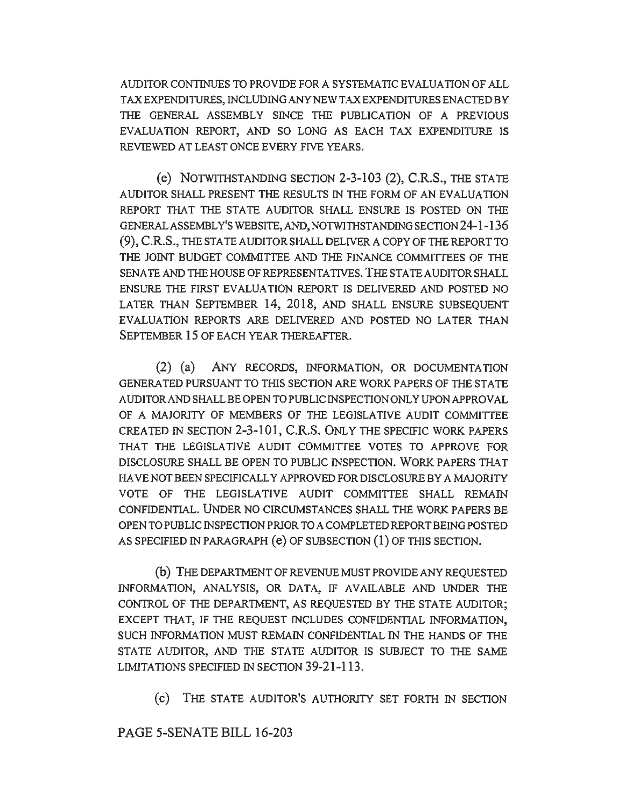AUDITOR CONTINUES TO PROVIDE FOR A SYSTEMATIC EVALUATION OF ALL TAX EXPENDITURES, INCLUDING ANY NEW TAX EXPENDITURES ENACTED BY THE GENERAL ASSEMBLY SINCE THE PUBLICATION OF A PREVIOUS EVALUATION REPORT, AND SO LONG AS EACH TAX EXPENDITURE IS REVIEWED AT LEAST ONCE EVERY FIVE YEARS.

(e) NOTWI111STANDING SECTION 2-3-103 (2), C.R.S., THE STATE AUDITOR SHALL PRESENT THE RESULTS IN THE FORM OF AN EVALUATION REPORT THAT THE STATE AUDITOR SHALL ENSURE IS POSTED ON THE GENERALASSEMBL Y'S WEBSITE, AND, NOTWITHSTANDING SECTION 24-1-136 (9), C.R.S., THESTATEAUDITORSHALLDELIVERACOPYOFTHEREPORTTO THE JOINT BUDGET COMMITTEE AND THE FINANCE COMMITTEES OF THE SENATE AND THE HOUSE OF REPRESENTATIVES. THE STATE AUDITOR SHALL ENSURE THE FIRST EVALUATION REPORT IS DELIVERED AND POSTED NO LATER THAN SEPTEMBER 14, 2018, AND SHALL ENSURE SUBSEQUENT EVALUATION REPORTS ARE DELIVERED AND POSTED NO LATER THAN SEPTEMBER 15 OF EACH YEAR THEREAFTER.

(2) (a) ANY RECORDS, INFORMATION, OR DOCUMENTATION GENERA TED PURSUANT TO THIS SECTION ARE WORK PAPERS OF THE STATE AUDITOR AND SHALL BE OPEN TO PUBLIC INSPECTION ONLY UPON APPROVAL OF A MAJORITY OF MEMBERS OF THE LEGISLATIVE AUDIT COMMITTEE CREATED IN SECTION 2-3-101, C.R.S. ONLY THE SPECIFIC WORK PAPERS THAT THE LEGISLATIVE AUDIT COMMITIEE VOTES TO APPROVE FOR DISCLOSURE SHALL BE OPEN TO PUBLIC INSPECTION. WORK PAPERS THAT HAVE NOT BEEN SPECIFICALLY APPROVED FOR DISCLOSURE BY A MAJORITY VOTE OF THE LEGISLATIVE AUDIT COMMITTEE SHALL REMAIN CONFIDENTIAL. UNDER NO CIRCUMSTANCES SHALL THE WORK PAPERS BE OPEN TO PUBLIC INSPECTION PRIOR TO A COMPLETED REPORT BEING POSTED AS SPECIFIED fN PARAGRAPH (e) OF SUBSECTION (1) OF THIS SECTION.

(b) THE DEPARTMENT OF REVENUE MUST PROVIDE ANY REQUESTED INFORMATION, ANALYSIS, OR DATA, IF AVAILABLE AND UNDER THE CONTROL OF THE DEPARTMENT, AS REQUESTED BY THE STATE AUDITOR; EXCEPT THAT, IF THE REQUEST INCLUDES CONFIDENTIAL INFORMATION, SUCH INFORMATION MUST REMAIN CONFIDENTIAL IN THE HANDS OF THE STATE AUDITOR, AND THE STATE AUDITOR IS SUBJECT TO THE SAME LIMITATIONS SPECIFIED IN SECTION 39-21-113.

(c) THE STATE AUDITOR'S AUTHORITY SET FORTH IN SECTION

PAGE 5-SENATE BILL 16-203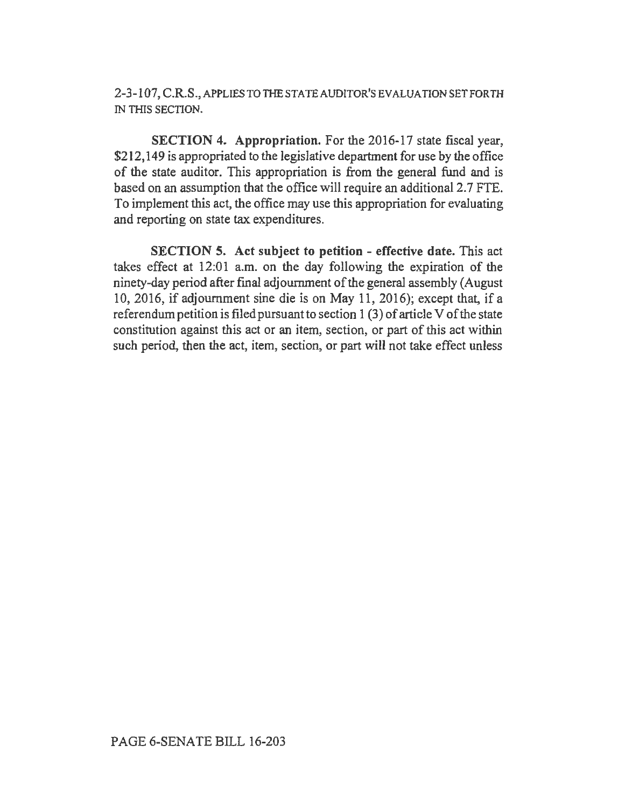2-3-107,C.R.S.,APPLIESTOTHESTATEAUDITOR'SEVALUATIONSETFORTH IN THIS SECTION.

SECTION 4. Appropriation. For the 2016-17 state fiscal year, \$212,149 is appropriated to the legislative department for use by the office of the state auditor. This appropriation is from the general fund and is based on an assumption that the office will require an additional2.7 FTE. To implement this act, the office may use this appropriation for evaluating and reporting on state tax expenditures.

SECTION 5. Act subject to petition - effective date. This act takes effect at 12:01 a.m. on the day following the expiration of the ninety-day period after final adjournment of the general assembly (August 10, 2016, if adjournment sine die is on May 11, 2016); except that, if a referendum petition is filed pursuant to section 1 (3) of article V of the state constitution against this act or an item, section, or part of this act within such period, then the act, item, section, or part will not take effect unless